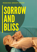### **R EA D I N G G R O U P N O T E S**

# SORROW AND BLISS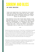## **UW AND BLIS**

#### **B Y M E G M AS O N**

"HOW CAN SOMETHING THIS TENDER BE THIS DARK? HOW CAN A BOOK THIS FUNNY BE SO SAD?" ASKED AUTHOR AND SYDNEY MORNING HERALD COLUMNIST JACQUELINE MALEY OF SORROW AND BLISS, A NEW **N O V E L B Y M E G M AS O N .**

THE PERFECT PICK FOR YOUR NEXT BOOK CLUB. SORROW AND BLISS IS A LOVE STORY ABOUT THE END OF A MARRIAGE. A COMING OF AGE ABOUT FAILING TO GROW UP. A COMEDY THAT WILL **MAKE YOU CRY... WITH THE MOST UNLIKEABLE HEROINE YOU'LL EVER FALL IN LOVE WITH.** 

**\* \* \***

Martha has known since she was 17 that there is something wrong with her. It's shaped her entire adult life, her marriage, friendships and career, it's cost her the one thing she has always wanted. And at 40, she still doesn't know what it is. Soon, she will find out. But when is it too late to solve the mystery of your existence? And if not knowing has made you who you are, what will be left after the finding out?

Although you will draw comparisons to Sally Rooney's *Conversation with Friends* and Gail Honeyman's *Eleanor Oliphant is Completely Fine*, to *Fleishman is in Trouble* by Taffy Brodesser-Akner and *My Year of Sleep* by Ottessa Moshfegh, *Sorrow and Bliss* is like no book you've read before.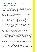#### **M E G M AS O N O N W R I T I N G** *S O R R O W A N D B L I S S*

Once you've found yourself on thesaurus.com looking up other words for "said" it becomes much harder to sustain the belief that the novel you're working on is going well. Harder still is keeping up the conviction that you have the skill and passion required for a long and prolific career in fiction since you've evidently exhausted your own stock of verbs two books in and lost all joy in the process while trying to produce a third.

When I arrived at that point in December 2018 - sitting miserably at my desk, wondering whether to make my character exclaim, declare, assert or utter whatever uninteresting thing he was going to say – I was a year into the task. I had realised, painfully early, that the premise which I'd been turning over for a year before that wasn't going to stand up, that its technical constraints were too many, that my characters were dull and unconvincing. But I didn't have another idea and I had sold this one, so I pressed on hoping it would come right.

It didn't. And now it was due. Because I am a journalist with a mortal fear of missing deadlines and because I wanted my publisher to see that I had at tried hard before giving up, I dragged the manuscript that was 85,000 words long and dreadful from start to finish into an email, apologised, asked her not to read it and pressed send. Then I burst into tears and went on seek.com.au to see what other jobs exist for someone who has only ever wanted to do one thing and now finds she isn't capable of it.

I do not know where publishers find such reserves of kindness and patience and encouragement for authors who aren't the easiest, most secure or emotionally hardy people you'll meet, even when they aren't grappling with failure and the devastation of their dreams. Mine took me out the following week and while I wept into the champagne that had been planned as celebratory and was now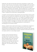medicinal, she told me that there were bits of goodness in what I had sent her. That she was sure the book could be salvaged, with more work, another draft or two. But I should take a break and then at some point, she said, I'd rediscover the joy of writing. And, she assured me as we were leaving, nothing is ever wasted. I did not believe her on either point because I had year's-worth of proof against the idea that writing can be joyful and nothing to show for all those miserable hours at my desk, but I hope I nodded and smiled before saying goodbye.

I wouldn't say fast-forward a few months since time doesn't tend to whiz by when you are bereft and rudderless. But one day, in March of 2019,a little picture dropped into my mind - of a couple at a wedding reception who notice a woman standing on her own. They decide to go over and introduce themselves but just as they do, the woman puts a canapé in her mouth. Unable to manage it in one bite, then unable to bite it in half or discreetly extract it, the following attempt at conversation is mortifying for all of three of them.

Clearly, a whole novel could not be hung on a troublesome canapé but I recognised the couple as the two main characters from that awful manuscript but transposed into a different time and place, they seemed suddenly real and interesting to me and I wanted to write that scene, for no reason and for no one except myself.

Another scene presented itself as I finished that one and then another and after that I couldn't stop. In form, what emerged wasn't like anything I had ever written before. It was all telling and no showing. The tone was spare and staccato. It didn't allow adjectives. The characters just said things.

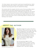For those reasons I was sure that it could never be published but I didn't care because there was no effort in the writing, no striving, no discipline required. It was all joy and it was all I wanted to be doing.

The moment with the canapé is the first scene of *Sorrow and Bliss*, which I finished exactly a year after abandoning my previous attempt. The process never stopped being joyful. Although the wasted year was painful at the time, it was necessary to produce an entirely different story and a style and characters that I love and hope that readers will love too. One of them is a writer who lives in terror of becoming reliant on thesaurus.com. Nothing is ever wasted.

#### **AB O U T T H E A U T H O R**



Photo taken by Grant Sparkes-Carroll

Meg Mason began her career in the UK at the *Financial Times* and *The Times*. Her work has since appeared in *The Sunday Times, The Sydney Morning Herald* and *The Sunday Telegraph*. She has written humour for *The New Yorker* and *Sunday STYLE*, monthly columns for *GQ* and *InsideOut* and is a regular contributor to *Vogue*, *Stellar*, *marie claire*, and *ELLE*.

Her first book *Say It Again in a Nice Voice* (HarperCollins), a memoir of early motherhood, was published in 2012. Her novel *You Be Mother* (HarperCollins) followed in 2017. She lives in Sydney.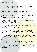#### **R E V I E W Q U O T E S**

'This book is so good. Compelling, funny, sad, moving; I can't put it down. The feeling readers live for. Wholeheartedly recommend.' HOLLY RINGLAND, author of *The Lost Flowers of Alice Hart*

*'*I just adored this book. It's timely and dark and poignant and funny. It was filled with such eviscerating compassion and rage; I couldn't get enough of it. I inhaled it in a single weekend, unable to put it down. Meg Mason is a searing talent - I am so glad to have discovered her writing and I cannot wait to see what she does next.'

KATE LEAVER, author of *The Friendship Cure* and *Good Dog*

It's hilarious and warm and touching, while also being devastating. I would classify this novel as an unclassifiable novel.' JO LEWIN, The Booktopia Books Podcast

'It's incredibly funny, one of the wittiest novels I've read in a long time. It makes Liane Moriarty look dry.'

BEN HUNTER, The Booktopia Books Podcast

'Damn I loved this – make sure it's on your wish list. It's an anti-love love story. Mason has managed to configure a novel about women's mental health and self-sabotage and instead of using high literary stylings as Moshfegh or Broder would she's utilised romance novel tropes and just turned it all on its head making for very accessible and downright delightful reading and yet she's still kept some of the pathos and darkness. Wildly impressive and so damn satisfying to read. It ultimately filled me with hope.'

JACLYN CRUPI, editor and bookseller, Hill of Content, Melbourne

'Meg Mason pulls off an extraordinary feat - this is a novel that is darkly funny and unsparing of its targets, but also gentle and humane. The bone-dry voice of the narrator captures you on the first page and sweeps you along like a fast-moving current. Once you open it, cancel your plans. You won't be putting it down.'

JACQUELINE MALEY, columnist and author of *The Truth About Her*